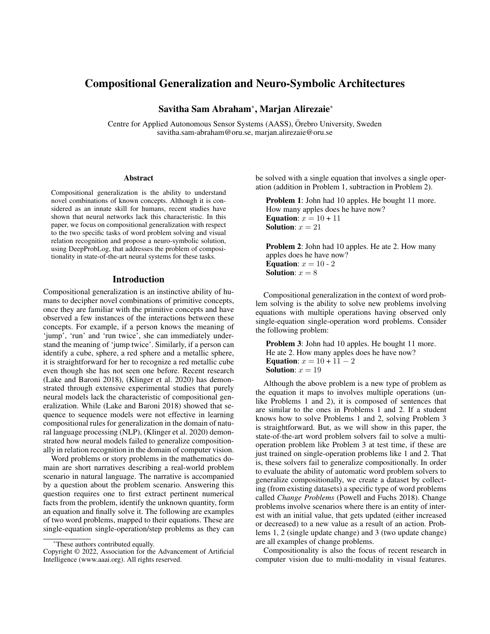# Compositional Generalization and Neuro-Symbolic Architectures

Savitha Sam Abraham\*, Marjan Alirezaie\*

Centre for Applied Autonomous Sensor Systems (AASS), Orebro University, Sweden ¨ savitha.sam-abraham@oru.se, marjan.alirezaie@oru.se

#### **Abstract**

Compositional generalization is the ability to understand novel combinations of known concepts. Although it is considered as an innate skill for humans, recent studies have shown that neural networks lack this characteristic. In this paper, we focus on compositional generalization with respect to the two specific tasks of word problem solving and visual relation recognition and propose a neuro-symbolic solution, using DeepProbLog, that addresses the problem of compositionality in state-of-the-art neural systems for these tasks.

### Introduction

Compositional generalization is an instinctive ability of humans to decipher novel combinations of primitive concepts, once they are familiar with the primitive concepts and have observed a few instances of the interactions between these concepts. For example, if a person knows the meaning of 'jump', 'run' and 'run twice', she can immediately understand the meaning of 'jump twice'. Similarly, if a person can identify a cube, sphere, a red sphere and a metallic sphere, it is straightforward for her to recognize a red metallic cube even though she has not seen one before. Recent research (Lake and Baroni 2018), (Klinger et al. 2020) has demonstrated through extensive experimental studies that purely neural models lack the characteristic of compositional generalization. While (Lake and Baroni 2018) showed that sequence to sequence models were not effective in learning compositional rules for generalization in the domain of natural language processing (NLP), (Klinger et al. 2020) demonstrated how neural models failed to generalize compositionally in relation recognition in the domain of computer vision.

Word problems or story problems in the mathematics domain are short narratives describing a real-world problem scenario in natural language. The narrative is accompanied by a question about the problem scenario. Answering this question requires one to first extract pertinent numerical facts from the problem, identify the unknown quantity, form an equation and finally solve it. The following are examples of two word problems, mapped to their equations. These are single-equation single-operation/step problems as they can be solved with a single equation that involves a single operation (addition in Problem 1, subtraction in Problem 2).

Problem 1: John had 10 apples. He bought 11 more. How many apples does he have now? Equation:  $x = 10 + 11$ Solution:  $x = 21$ 

Problem 2: John had 10 apples. He ate 2. How many apples does he have now? Equation:  $x = 10 - 2$ Solution:  $x = 8$ 

Compositional generalization in the context of word problem solving is the ability to solve new problems involving equations with multiple operations having observed only single-equation single-operation word problems. Consider the following problem:

Problem 3: John had 10 apples. He bought 11 more. He ate 2. How many apples does he have now? **Equation:**  $x = 10 + 11 - 2$ Solution:  $x = 19$ 

Although the above problem is a new type of problem as the equation it maps to involves multiple operations (unlike Problems 1 and 2), it is composed of sentences that are similar to the ones in Problems 1 and 2. If a student knows how to solve Problems 1 and 2, solving Problem 3 is straightforward. But, as we will show in this paper, the state-of-the-art word problem solvers fail to solve a multioperation problem like Problem 3 at test time, if these are just trained on single-operation problems like 1 and 2. That is, these solvers fail to generalize compositionally. In order to evaluate the ability of automatic word problem solvers to generalize compositionally, we create a dataset by collecting (from existing datasets) a specific type of word problems called *Change Problems* (Powell and Fuchs 2018). Change problems involve scenarios where there is an entity of interest with an initial value, that gets updated (either increased or decreased) to a new value as a result of an action. Problems 1, 2 (single update change) and 3 (two update change) are all examples of change problems.

Compositionality is also the focus of recent research in computer vision due to multi-modality in visual features.

<sup>\*</sup>These authors contributed equally.

Copyright © 2022, Association for the Advancement of Artificial Intelligence (www.aaai.org). All rights reserved.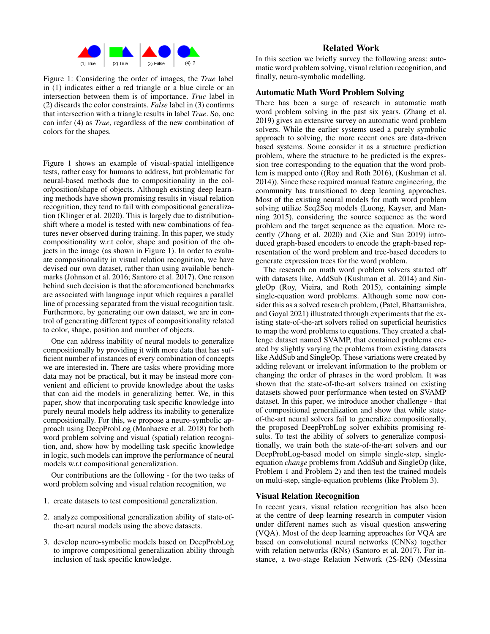

Figure 1: Considering the order of images, the *True* label in (1) indicates either a red triangle or a blue circle or an intersection between them is of importance. *True* label in (2) discards the color constraints. *False* label in (3) confirms that intersection with a triangle results in label *True*. So, one can infer (4) as *True*, regardless of the new combination of colors for the shapes.

Figure 1 shows an example of visual-spatial intelligence tests, rather easy for humans to address, but problematic for neural-based methods due to compositionality in the color/position/shape of objects. Although existing deep learning methods have shown promising results in visual relation recognition, they tend to fail with compositional generalization (Klinger et al. 2020). This is largely due to distributionshift where a model is tested with new combinations of features never observed during training. In this paper, we study compositionality w.r.t color, shape and position of the objects in the image (as shown in Figure 1). In order to evaluate compositionality in visual relation recognition, we have devised our own dataset, rather than using available benchmarks (Johnson et al. 2016; Santoro et al. 2017). One reason behind such decision is that the aforementioned benchmarks are associated with language input which requires a parallel line of processing separated from the visual recognition task. Furthermore, by generating our own dataset, we are in control of generating different types of compositionality related to color, shape, position and number of objects.

One can address inability of neural models to generalize compositionally by providing it with more data that has sufficient number of instances of every combination of concepts we are interested in. There are tasks where providing more data may not be practical, but it may be instead more convenient and efficient to provide knowledge about the tasks that can aid the models in generalizing better. We, in this paper, show that incorporating task specific knowledge into purely neural models help address its inability to generalize compositionally. For this, we propose a neuro-symbolic approach using DeepProbLog (Manhaeve et al. 2018) for both word problem solving and visual (spatial) relation recognition, and, show how by modelling task specific knowledge in logic, such models can improve the performance of neural models w.r.t compositional generalization.

Our contributions are the following - for the two tasks of word problem solving and visual relation recognition, we

- 1. create datasets to test compositional generalization.
- 2. analyze compositional generalization ability of state-ofthe-art neural models using the above datasets.
- 3. develop neuro-symbolic models based on DeepProbLog to improve compositional generalization ability through inclusion of task specific knowledge.

## Related Work

In this section we briefly survey the following areas: automatic word problem solving, visual relation recognition, and finally, neuro-symbolic modelling.

## Automatic Math Word Problem Solving

There has been a surge of research in automatic math word problem solving in the past six years. (Zhang et al. 2019) gives an extensive survey on automatic word problem solvers. While the earlier systems used a purely symbolic approach to solving, the more recent ones are data-driven based systems. Some consider it as a structure prediction problem, where the structure to be predicted is the expression tree corresponding to the equation that the word problem is mapped onto ((Roy and Roth 2016), (Kushman et al. 2014)). Since these required manual feature engineering, the community has transitioned to deep learning approaches. Most of the existing neural models for math word problem solving utilize Seq2Seq models (Luong, Kayser, and Manning 2015), considering the source sequence as the word problem and the target sequence as the equation. More recently (Zhang et al. 2020) and (Xie and Sun 2019) introduced graph-based encoders to encode the graph-based representation of the word problem and tree-based decoders to generate expression trees for the word problem.

The research on math word problem solvers started off with datasets like, AddSub (Kushman et al. 2014) and SingleOp (Roy, Vieira, and Roth 2015), containing simple single-equation word problems. Although some now consider this as a solved research problem, (Patel, Bhattamishra, and Goyal 2021) illustrated through experiments that the existing state-of-the-art solvers relied on superficial heuristics to map the word problems to equations. They created a challenge dataset named SVAMP, that contained problems created by slightly varying the problems from existing datasets like AddSub and SingleOp. These variations were created by adding relevant or irrelevant information to the problem or changing the order of phrases in the word problem. It was shown that the state-of-the-art solvers trained on existing datasets showed poor performance when tested on SVAMP dataset. In this paper, we introduce another challenge - that of compositional generalization and show that while stateof-the-art neural solvers fail to generalize compositionally, the proposed DeepProbLog solver exhibits promising results. To test the ability of solvers to generalize compositionally, we train both the state-of-the-art solvers and our DeepProbLog-based model on simple single-step, singleequation *change* problems from AddSub and SingleOp (like, Problem 1 and Problem 2) and then test the trained models on multi-step, single-equation problems (like Problem 3).

### Visual Relation Recognition

In recent years, visual relation recognition has also been at the centre of deep learning research in computer vision under different names such as visual question answering (VQA). Most of the deep learning approaches for VQA are based on convolutional neural networks (CNNs) together with relation networks (RNs) (Santoro et al. 2017). For instance, a two-stage Relation Network (2S-RN) (Messina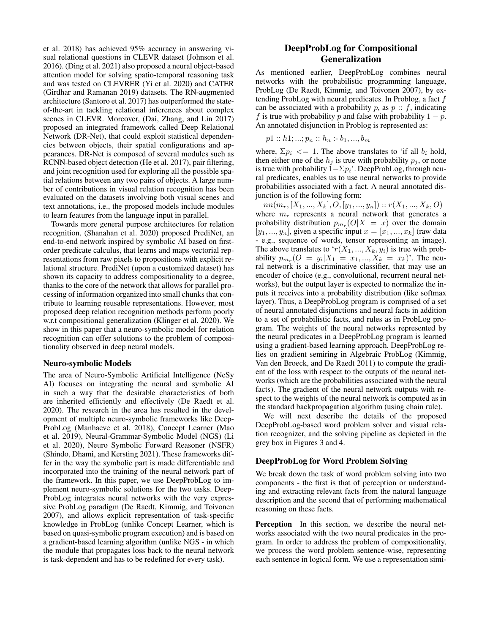et al. 2018) has achieved 95% accuracy in answering visual relational questions in CLEVR dataset (Johnson et al. 2016). (Ding et al. 2021) also proposed a neural object-based attention model for solving spatio-temporal reasoning task and was tested on CLEVRER (Yi et al. 2020) and CATER (Girdhar and Ramanan 2019) datasets. The RN-augmented architecture (Santoro et al. 2017) has outperformed the stateof-the-art in tackling relational inferences about complex scenes in CLEVR. Moreover, (Dai, Zhang, and Lin 2017) proposed an integrated framework called Deep Relational Network (DR-Net), that could exploit statistical dependencies between objects, their spatial configurations and appearances. DR-Net is composed of several modules such as RCNN-based object detection (He et al. 2017), pair filtering, and joint recognition used for exploring all the possible spatial relations between any two pairs of objects. A large number of contributions in visual relation recognition has been evaluated on the datasets involving both visual scenes and text annotations, i.e., the proposed models include modules to learn features from the language input in parallel.

Towards more general purpose architectures for relation recognition, (Shanahan et al. 2020) proposed PrediNet, an end-to-end network inspired by symbolic AI based on firstorder predicate calculus, that learns and maps vectorial representations from raw pixels to propositions with explicit relational structure. PrediNet (upon a customized dataset) has shown its capacity to address compositionality to a degree, thanks to the core of the network that allows for parallel processing of information organized into small chunks that contribute to learning reusable representations. However, most proposed deep relation recognition methods perform poorly w.r.t compositional generalization (Klinger et al. 2020). We show in this paper that a neuro-symbolic model for relation recognition can offer solutions to the problem of compositionality observed in deep neural models.

#### Neuro-symbolic Models

The area of Neuro-Symbolic Artificial Intelligence (NeSy AI) focuses on integrating the neural and symbolic AI in such a way that the desirable characteristics of both are inherited efficiently and effectively (De Raedt et al. 2020). The research in the area has resulted in the development of multiple neuro-symbolic frameworks like Deep-ProbLog (Manhaeve et al. 2018), Concept Learner (Mao et al. 2019), Neural-Grammar-Symbolic Model (NGS) (Li et al. 2020), Neuro Symbolic Forward Reasoner (NSFR) (Shindo, Dhami, and Kersting 2021). These frameworks differ in the way the symbolic part is made differentiable and incorporated into the training of the neural network part of the framework. In this paper, we use DeepProbLog to implement neuro-symbolic solutions for the two tasks. Deep-ProbLog integrates neural networks with the very expressive ProbLog paradigm (De Raedt, Kimmig, and Toivonen 2007), and allows explicit representation of task-specific knowledge in ProbLog (unlike Concept Learner, which is based on quasi-symbolic program execution) and is based on a gradient-based learning algorithm (unlike NGS - in which the module that propagates loss back to the neural network is task-dependent and has to be redefined for every task).

# DeepProbLog for Compositional Generalization

As mentioned earlier, DeepProbLog combines neural networks with the probabilistic programming language, ProbLog (De Raedt, Kimmig, and Toivonen 2007), by extending ProbLog with neural predicates. In Problog, a fact f can be associated with a probability p, as  $p :: f$ , indicating f is true with probability p and false with probability  $1 - p$ . An annotated disjunction in Problog is represented as:

$$
p1 :: h1; ...; p_n :: h_n :- b_1, ..., b_m
$$

where,  $\Sigma p_i \leq 1$ . The above translates to 'if all  $b_i$  hold, then either one of the  $h_i$  is true with probability  $p_i$ , or none is true with probability  $1-\sum p_i$ . DeepProbLog, through neural predicates, enables us to use neural networks to provide probabilities associated with a fact. A neural annotated disjunction is of the following form:

 $nn(m_r, [X_1, ..., X_k], O, [y_1, ..., y_n]) :: r(X_1, ..., X_k, O)$ where  $m_r$  represents a neural network that generates a probability distribution  $p_{m_r}(O|X = x)$  over the domain  $[y_1, ..., y_n]$ , given a specific input  $x = [x_1, ..., x_k]$  (raw data - e.g., sequence of words, tensor representing an image). The above translates to ' $r(X_1, ..., X_k, y_i)$  is true with probability  $p_{m_r}(O = y_i | X_1 = x_1, ..., X_k = x_k)$ . The neural network is a discriminative classifier, that may use an encoder of choice (e.g., convolutional, recurrent neural networks), but the output layer is expected to normalize the inputs it receives into a probability distribution (like softmax layer). Thus, a DeepProbLog program is comprised of a set of neural annotated disjunctions and neural facts in addition to a set of probabilistic facts, and rules as in ProbLog program. The weights of the neural networks represented by the neural predicates in a DeepProbLog program is learned using a gradient-based learning approach. DeepProbLog relies on gradient semiring in Algebraic ProbLog (Kimmig, Van den Broeck, and De Raedt 2011) to compute the gradient of the loss with respect to the outputs of the neural networks (which are the probabilities associated with the neural facts). The gradient of the neural network outputs with respect to the weights of the neural network is computed as in the standard backpropagation algorithm (using chain rule).

We will next describe the details of the proposed DeepProbLog-based word problem solver and visual relation recognizer, and the solving pipeline as depicted in the grey box in Figures 3 and 4.

#### DeepProbLog for Word Problem Solving

We break down the task of word problem solving into two components - the first is that of perception or understanding and extracting relevant facts from the natural language description and the second that of performing mathematical reasoning on these facts.

Perception In this section, we describe the neural networks associated with the two neural predicates in the program. In order to address the problem of compositionality, we process the word problem sentence-wise, representing each sentence in logical form. We use a representation simi-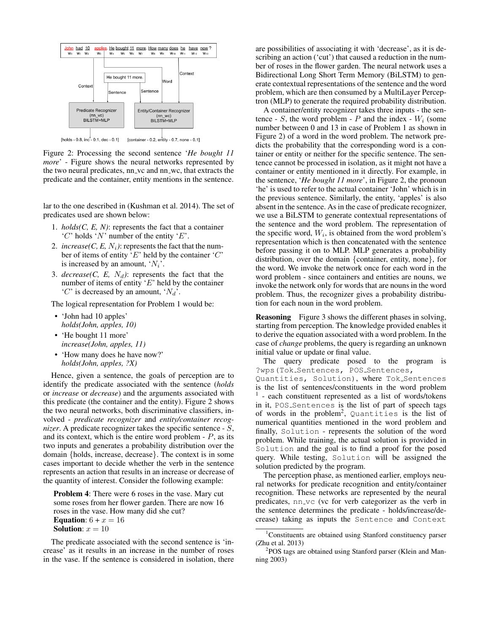

[holds - 0.8, inc<sup>+</sup> - 0.1, dec - 0.1] [container - 0.2, entity - 0.7, none - 0.1]

Figure 2: Processing the second sentence '*He bought 11 more*' - Figure shows the neural networks represented by the two neural predicates, nn\_vc and nn\_wc, that extracts the predicate and the container, entity mentions in the sentence.

lar to the one described in (Kushman et al. 2014). The set of predicates used are shown below:

- 1. *holds(C, E, N)*: represents the fact that a container 'C' holds 'N' number of the entity 'E'.
- 2. *increase(C, E, N<sub>i</sub>)*: represents the fact that the number of items of entity 'E' held by the container 'C' is increased by an amount,  $'N_i$ .
- 3.  $decrease(C, E, N_d)$ : represents the fact that the number of items of entity  $E'$  held by the container 'C' is decreased by an amount, ' $N_d$ '.

The logical representation for Problem 1 would be:

- 'John had 10 apples' *holds(John, apples, 10)*
- 'He bought 11 more' *increase(John, apples, 11)*
- 'How many does he have now?' *holds(John, apples, ?X)*

Hence, given a sentence, the goals of perception are to identify the predicate associated with the sentence (*holds* or *increase* or *decrease*) and the arguments associated with this predicate (the container and the entity). Figure 2 shows the two neural networks, both discriminative classifiers, involved - *predicate recognizer* and *entity/container recognizer*. A predicate recognizer takes the specific sentence - S, and its context, which is the entire word problem  $-P$ , as its two inputs and generates a probability distribution over the domain {holds, increase, decrease}. The context is in some cases important to decide whether the verb in the sentence represents an action that results in an increase or decrease of the quantity of interest. Consider the following example:

Problem 4: There were 6 roses in the vase. Mary cut some roses from her flower garden. There are now 16 roses in the vase. How many did she cut? Equation:  $6 + x = 16$ Solution:  $x = 10$ 

The predicate associated with the second sentence is 'increase' as it results in an increase in the number of roses in the vase. If the sentence is considered in isolation, there

are possibilities of associating it with 'decrease', as it is describing an action ('cut') that caused a reduction in the number of roses in the flower garden. The neural network uses a Bidirectional Long Short Term Memory (BiLSTM) to generate contextual representations of the sentence and the word problem, which are then consumed by a MultiLayer Perceptron (MLP) to generate the required probability distribution.

A container/entity recognizer takes three inputs - the sentence -  $S$ , the word problem -  $P$  and the index -  $W_i$  (some number between 0 and 13 in case of Problem 1 as shown in Figure 2) of a word in the word problem. The network predicts the probability that the corresponding word is a container or entity or neither for the specific sentence. The sentence cannot be processed in isolation, as it might not have a container or entity mentioned in it directly. For example, in the sentence, '*He bought 11 more*', in Figure 2, the pronoun 'he' is used to refer to the actual container 'John' which is in the previous sentence. Similarly, the entity, 'apples' is also absent in the sentence. As in the case of predicate recognizer, we use a BiLSTM to generate contextual representations of the sentence and the word problem. The representation of the specific word,  $W_i$ , is obtained from the word problem's representation which is then concatenated with the sentence before passing it on to MLP. MLP generates a probability distribution, over the domain {container, entity, none}, for the word. We invoke the network once for each word in the word problem - since containers and entities are nouns, we invoke the network only for words that are nouns in the word problem. Thus, the recognizer gives a probability distribution for each noun in the word problem.

Reasoning Figure 3 shows the different phases in solving, starting from perception. The knowledge provided enables it to derive the equation associated with a word problem. In the case of *change* problems, the query is regarding an unknown initial value or update or final value.

The query predicate posed to the program is ?wps(Tok\_Sentences, POS\_Sentences, Quantities, Solution), where Tok Sentences is the list of sentences/constituents in the word problem 1 - each constituent represented as a list of words/tokens in it, POS Sentences is the list of part of speech tags of words in the problem<sup>2</sup>, Quantities is the list of numerical quantities mentioned in the word problem and finally, Solution - represents the solution of the word problem. While training, the actual solution is provided in Solution and the goal is to find a proof for the posed query. While testing, Solution will be assigned the solution predicted by the program.

The perception phase, as mentioned earlier, employs neural networks for predicate recognition and entity/container recognition. These networks are represented by the neural predicates, nn\_vc (vc for verb categorizer as the verb in the sentence determines the predicate - holds/increase/decrease) taking as inputs the Sentence and Context

<sup>&</sup>lt;sup>1</sup>Constituents are obtained using Stanford constituency parser (Zhu et al. 2013)

<sup>&</sup>lt;sup>2</sup>POS tags are obtained using Stanford parser (Klein and Manning 2003)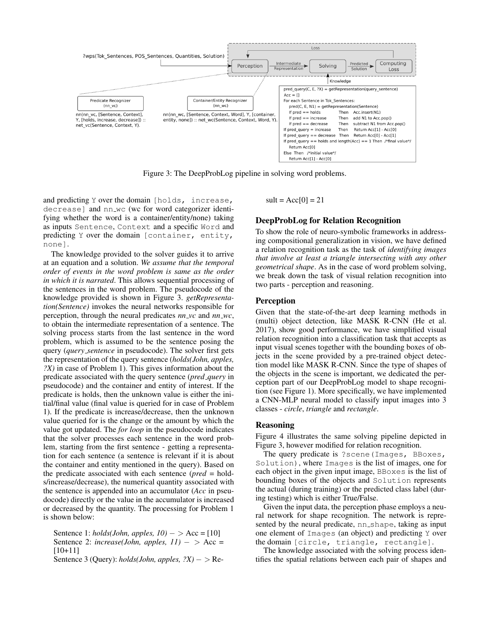

Figure 3: The DeepProbLog pipeline in solving word problems.

and predicting Y over the domain [holds, increase, decrease] and nn wc (wc for word categorizer identifying whether the word is a container/entity/none) taking as inputs Sentence, Context and a specific Word and predicting Y over the domain [container, entity, none].

The knowledge provided to the solver guides it to arrive at an equation and a solution. *We assume that the temporal order of events in the word problem is same as the order in which it is narrated*. This allows sequential processing of the sentences in the word problem. The pseudocode of the knowledge provided is shown in Figure 3. *getRepresentation(Sentence)* invokes the neural networks responsible for perception, through the neural predicates *nn vc* and *nn wc*, to obtain the intermediate representation of a sentence. The solving process starts from the last sentence in the word problem, which is assumed to be the sentence posing the query (*query sentence* in pseudocode). The solver first gets the representation of the query sentence (*holds(John, apples, ?X)* in case of Problem 1). This gives information about the predicate associated with the query sentence (*pred query* in pseudocode) and the container and entity of interest. If the predicate is holds, then the unknown value is either the initial/final value (final value is queried for in case of Problem 1). If the predicate is increase/decrease, then the unknown value queried for is the change or the amount by which the value got updated. The *for loop* in the pseudocode indicates that the solver processes each sentence in the word problem, starting from the first sentence - getting a representation for each sentence (a sentence is relevant if it is about the container and entity mentioned in the query). Based on the predicate associated with each sentence (*pred* = holds/increase/decrease), the numerical quantity associated with the sentence is appended into an accumulator (*Acc* in pseudocode) directly or the value in the accumulator is increased or decreased by the quantity. The processing for Problem 1 is shown below:

Sentence 1: *holds(John, apples, 10)* − > Acc = [10] Sentence 2:  $increase(John, apples, 11) - > Acc =$ [10+11]

Sentence 3 (Query): *holds(John, apples, ?X)* − > Re-

 $sult = Acc[0] = 21$ 

## DeepProbLog for Relation Recognition

To show the role of neuro-symbolic frameworks in addressing compositional generalization in vision, we have defined a relation recognition task as the task of *identifying images that involve at least a triangle intersecting with any other geometrical shape*. As in the case of word problem solving, we break down the task of visual relation recognition into two parts - perception and reasoning.

### Perception

Given that the state-of-the-art deep learning methods in (multi) object detection, like MASK R-CNN (He et al. 2017), show good performance, we have simplified visual relation recognition into a classification task that accepts as input visual scenes together with the bounding boxes of objects in the scene provided by a pre-trained object detection model like MASK R-CNN. Since the type of shapes of the objects in the scene is important, we dedicated the perception part of our DeepProbLog model to shape recognition (see Figure 1). More specifically, we have implemented a CNN-MLP neural model to classify input images into 3 classes - *circle*, *triangle* and *rectangle*.

#### Reasoning

Figure 4 illustrates the same solving pipeline depicted in Figure 3, however modified for relation recognition.

The query predicate is ?scene(Images, BBoxes, Solution), where Images is the list of images, one for each object in the given input image, BBoxes is the list of bounding boxes of the objects and Solution represents the actual (during training) or the predicted class label (during testing) which is either True/False.

Given the input data, the perception phase employs a neural network for shape recognition. The network is represented by the neural predicate, nn\_shape, taking as input one element of Images (an object) and predicting Y over the domain [circle, triangle, rectangle].

The knowledge associated with the solving process identifies the spatial relations between each pair of shapes and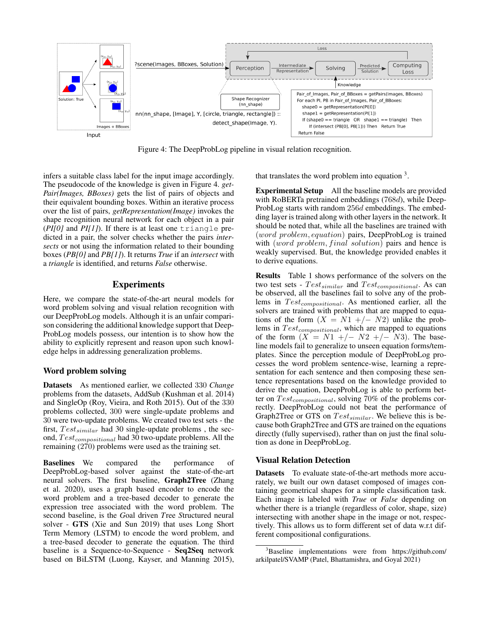

Figure 4: The DeepProbLog pipeline in visual relation recognition.

infers a suitable class label for the input image accordingly. The pseudocode of the knowledge is given in Figure 4. *get-Pair(Images, BBoxes)* gets the list of pairs of objects and their equivalent bounding boxes. Within an iterative process over the list of pairs, *getRepresentation(Image)* invokes the shape recognition neural network for each object in a pair (*PI[0]* and *PI[1]*). If there is at least one triangle predicted in a pair, the solver checks whether the pairs *intersects* or not using the information related to their bounding boxes (*PB[0]* and *PB[1]*). It returns *True* if an *intersect* with a *triangle* is identified, and returns *False* otherwise.

## Experiments

Here, we compare the state-of-the-art neural models for word problem solving and visual relation recognition with our DeepProbLog models. Although it is an unfair comparison considering the additional knowledge support that Deep-ProbLog models possess, our intention is to show how the ability to explicitly represent and reason upon such knowledge helps in addressing generalization problems.

## Word problem solving

Datasets As mentioned earlier, we collected 330 *Change* problems from the datasets, AddSub (Kushman et al. 2014) and SingleOp (Roy, Vieira, and Roth 2015). Out of the 330 problems collected, 300 were single-update problems and 30 were two-update problems. We created two test sets - the first,  $Test_{similar}$  had 30 single-update problems, the second,  $Test_{compositional}$  had 30 two-update problems. All the remaining (270) problems were used as the training set.

Baselines We compared the performance of DeepProbLog-based solver against the state-of-the-art neural solvers. The first baseline, Graph2Tree (Zhang et al. 2020), uses a graph based encoder to encode the word problem and a tree-based decoder to generate the expression tree associated with the word problem. The second baseline, is the *G*oal driven *T*ree *S*tructured neural solver - GTS (Xie and Sun 2019) that uses Long Short Term Memory (LSTM) to encode the word problem, and a tree-based decoder to generate the equation. The third baseline is a Sequence-to-Sequence - Seq2Seq network based on BiLSTM (Luong, Kayser, and Manning 2015),

that translates the word problem into equation<sup>3</sup>.

Experimental Setup All the baseline models are provided with RoBERTa pretrained embeddings (768d), while Deep-ProbLog starts with random 256d embeddings. The embedding layer is trained along with other layers in the network. It should be noted that, while all the baselines are trained with (word problem, equation) pairs, DeepProbLog is trained with (word problem, final solution) pairs and hence is weakly supervised. But, the knowledge provided enables it to derive equations.

Results Table 1 shows performance of the solvers on the two test sets -  $Test_{similar}$  and  $Test_{compositional}$ . As can be observed, all the baselines fail to solve any of the problems in  $Test_{compositional}$ . As mentioned earlier, all the solvers are trained with problems that are mapped to equations of the form  $(X = N1 + (-N2)$  unlike the problems in  $Test_{compositional}$ , which are mapped to equations of the form  $(X = N1 +/- N2 +/- N3)$ . The baseline models fail to generalize to unseen equation forms/templates. Since the perception module of DeepProbLog processes the word problem sentence-wise, learning a representation for each sentence and then composing these sentence representations based on the knowledge provided to derive the equation, DeepProbLog is able to perform better on  $Test_{compositional}$ , solving 70% of the problems correctly. DeepProbLog could not beat the performance of Graph2Tree or GTS on  $Test_{similar}$ . We believe this is because both Graph2Tree and GTS are trained on the equations directly (fully supervised), rather than on just the final solution as done in DeepProbLog.

#### Visual Relation Detection

Datasets To evaluate state-of-the-art methods more accurately, we built our own dataset composed of images containing geometrical shapes for a simple classification task. Each image is labeled with *True* or *False* depending on whether there is a triangle (regardless of color, shape, size) intersecting with another shape in the image or not, respectively. This allows us to form different set of data w.r.t different compositional configurations.

<sup>&</sup>lt;sup>3</sup>Baseline implementations were from https://github.com/ arkilpatel/SVAMP (Patel, Bhattamishra, and Goyal 2021)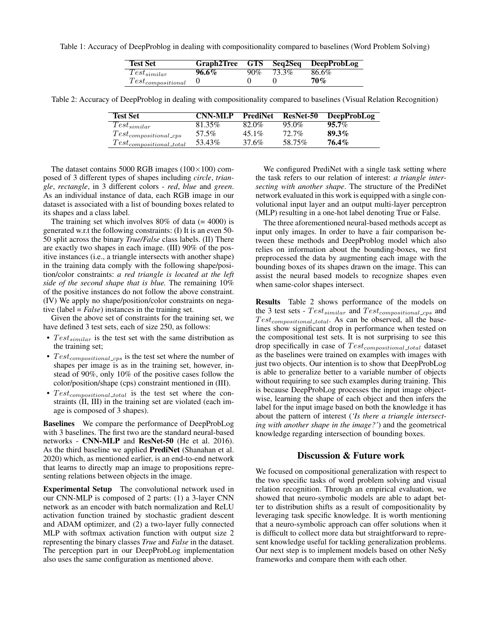Table 1: Accuracy of DeepProblog in dealing with compositionality compared to baselines (Word Problem Solving)

| <b>Test Set</b>          |       |     |       | Graph2Tree GTS Seq2Seq DeepProbLog |
|--------------------------|-------|-----|-------|------------------------------------|
| $Test_{similar}$         | 96.6% | 90% | 73.3% | 86.6%                              |
| $Test_{compositional}$ 0 |       |     |       | 70%                                |

Table 2: Accuracy of DeepProblog in dealing with compositionality compared to baselines (Visual Relation Recognition)

| <b>Test Set</b>               | <b>CNN-MLP</b> | <b>PrediNet</b> | <b>ResNet-50</b> | <b>DeepProbLog</b> |
|-------------------------------|----------------|-----------------|------------------|--------------------|
| $Test_{similar}$              | 81.35%         | 82.0%           | 95.0%            | $95.7\%$           |
| $Test_{compositional\_cps}$   | 57.5%          | $45.1\%$        | $72.7\%$         | 89.3%              |
| $Test_{compositional\_total}$ | 53.43%         | 37.6%           | 58.75%           | 76.4%              |

The dataset contains 5000 RGB images  $(100 \times 100)$  composed of 3 different types of shapes including *circle*, *triangle*, *rectangle*, in 3 different colors - *red*, *blue* and *green*. As an individual instance of data, each RGB image in our dataset is associated with a list of bounding boxes related to its shapes and a class label.

The training set which involves  $80\%$  of data (= 4000) is generated w.r.t the following constraints: (I) It is an even 50- 50 split across the binary *True/False* class labels. (II) There are exactly two shapes in each image. (III) 90% of the positive instances (i.e., a triangle intersects with another shape) in the training data comply with the following shape/position/color constraints: *a red triangle is located at the left side of the second shape that is blue.* The remaining 10% of the positive instances do not follow the above constraint. (IV) We apply no shape/position/color constraints on negative (label = *False*) instances in the training set.

Given the above set of constraints for the training set, we have defined 3 test sets, each of size 250, as follows:

- $Test_{similar}$  is the test set with the same distribution as the training set;
- $Test_{compositional\_cps}$  is the test set where the number of shapes per image is as in the training set, however, instead of 90%, only 10% of the positive cases follow the color/position/shape (cps) constraint mentioned in (III).
- $Test_{compositional\_total}$  is the test set where the constraints (II, III) in the training set are violated (each image is composed of 3 shapes).

Baselines We compare the performance of DeepProbLog with 3 baselines. The first two are the standard neural-based networks - CNN-MLP and ResNet-50 (He et al. 2016). As the third baseline we applied PrediNet (Shanahan et al. 2020) which, as mentioned earlier, is an end-to-end network that learns to directly map an image to propositions representing relations between objects in the image.

Experimental Setup The convolutional network used in our CNN-MLP is composed of 2 parts: (1) a 3-layer CNN network as an encoder with batch normalization and ReLU activation function trained by stochastic gradient descent and ADAM optimizer, and (2) a two-layer fully connected MLP with softmax activation function with output size 2 representing the binary classes *True* and *False* in the dataset. The perception part in our DeepProbLog implementation also uses the same configuration as mentioned above.

We configured PrediNet with a single task setting where the task refers to our relation of interest: *a triangle intersecting with another shape*. The structure of the PrediNet network evaluated in this work is equipped with a single convolutional input layer and an output multi-layer perceptron (MLP) resulting in a one-hot label denoting True or False.

The three aforementioned neural-based methods accept as input only images. In order to have a fair comparison between these methods and DeepProblog model which also relies on information about the bounding-boxes, we first preprocessed the data by augmenting each image with the bounding boxes of its shapes drawn on the image. This can assist the neural based models to recognize shapes even when same-color shapes intersect.

Results Table 2 shows performance of the models on the 3 test sets -  $Test_{similar}$  and  $Test_{compositional\_cps}$  and  $Test_{compositional\_total}$ . As can be observed, all the baselines show significant drop in performance when tested on the compositional test sets. It is not surprising to see this drop specifically in case of  $Test_{compositional\_total}$  dataset as the baselines were trained on examples with images with just two objects. Our intention is to show that DeepProbLog is able to generalize better to a variable number of objects without requiring to see such examples during training. This is because DeepProbLog processes the input image objectwise, learning the shape of each object and then infers the label for the input image based on both the knowledge it has about the pattern of interest (*'Is there a triangle intersecting with another shape in the image?'*) and the geometrical knowledge regarding intersection of bounding boxes.

## Discussion & Future work

We focused on compositional generalization with respect to the two specific tasks of word problem solving and visual relation recognition. Through an empirical evaluation, we showed that neuro-symbolic models are able to adapt better to distribution shifts as a result of compositionality by leveraging task specific knowledge. It is worth mentioning that a neuro-symbolic approach can offer solutions when it is difficult to collect more data but straightforward to represent knowledge useful for tackling generalization problems. Our next step is to implement models based on other NeSy frameworks and compare them with each other.